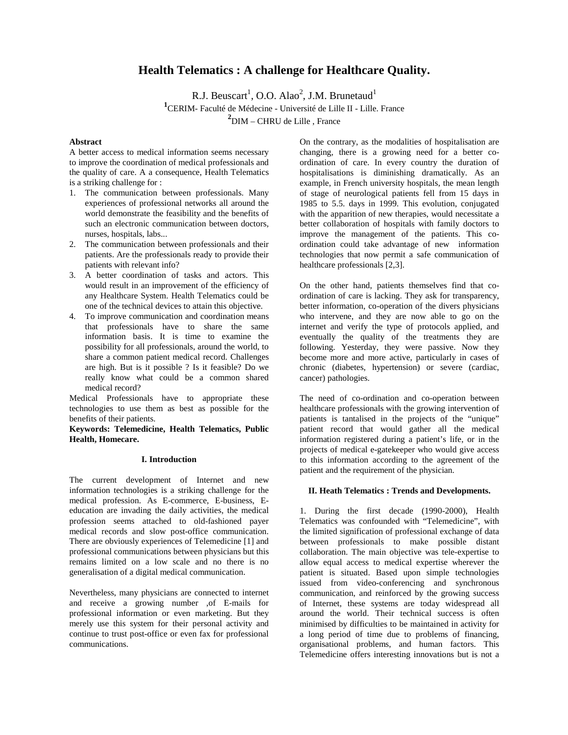# **Health Telematics : A challenge for Healthcare Quality.**

R.J. Beuscart<sup>1</sup>, O.O. Alao<sup>2</sup>, J.M. Brunetaud<sup>1</sup> **1** CERIM- Faculté de Médecine - Université de Lille II - Lille. France **2** DIM – CHRU de Lille , France

#### **Abstract**

A better access to medical information seems necessary to improve the coordination of medical professionals and the quality of care. A a consequence, Health Telematics is a striking challenge for :

- 1. The communication between professionals. Many experiences of professional networks all around the world demonstrate the feasibility and the benefits of such an electronic communication between doctors, nurses, hospitals, labs...
- 2. The communication between professionals and their patients. Are the professionals ready to provide their patients with relevant info?
- 3. A better coordination of tasks and actors. This would result in an improvement of the efficiency of any Healthcare System. Health Telematics could be one of the technical devices to attain this objective.
- 4. To improve communication and coordination means that professionals have to share the same information basis. It is time to examine the possibility for all professionals, around the world, to share a common patient medical record. Challenges are high. But is it possible ? Is it feasible? Do we really know what could be a common shared medical record?

Medical Professionals have to appropriate these technologies to use them as best as possible for the benefits of their patients.

**Keywords: Telemedicine, Health Telematics, Public Health, Homecare.**

#### **I. Introduction**

The current development of Internet and new information technologies is a striking challenge for the medical profession. As E-commerce, E-business, Eeducation are invading the daily activities, the medical profession seems attached to old-fashioned payer medical records and slow post-office communication. There are obviously experiences of Telemedicine [1] and professional communications between physicians but this remains limited on a low scale and no there is no generalisation of a digital medical communication.

Nevertheless, many physicians are connected to internet and receive a growing number ,of E-mails for professional information or even marketing. But they merely use this system for their personal activity and continue to trust post-office or even fax for professional communications.

On the contrary, as the modalities of hospitalisation are changing, there is a growing need for a better coordination of care. In every country the duration of hospitalisations is diminishing dramatically. As an example, in French university hospitals, the mean length of stage of neurological patients fell from 15 days in 1985 to 5.5. days in 1999. This evolution, conjugated with the apparition of new therapies, would necessitate a better collaboration of hospitals with family doctors to improve the management of the patients. This coordination could take advantage of new information technologies that now permit a safe communication of healthcare professionals [2,3].

On the other hand, patients themselves find that coordination of care is lacking. They ask for transparency, better information, co-operation of the divers physicians who intervene, and they are now able to go on the internet and verify the type of protocols applied, and eventually the quality of the treatments they are following. Yesterday, they were passive. Now they become more and more active, particularly in cases of chronic (diabetes, hypertension) or severe (cardiac, cancer) pathologies.

The need of co-ordination and co-operation between healthcare professionals with the growing intervention of patients is tantalised in the projects of the "unique" patient record that would gather all the medical information registered during a patient's life, or in the projects of medical e-gatekeeper who would give access to this information according to the agreement of the patient and the requirement of the physician.

# **II. Heath Telematics : Trends and Developments.**

1. During the first decade (1990-2000), Health Telematics was confounded with "Telemedicine", with the limited signification of professional exchange of data between professionals to make possible distant collaboration. The main objective was tele-expertise to allow equal access to medical expertise wherever the patient is situated. Based upon simple technologies issued from video-conferencing and synchronous communication, and reinforced by the growing success of Internet, these systems are today widespread all around the world. Their technical success is often minimised by difficulties to be maintained in activity for a long period of time due to problems of financing, organisational problems, and human factors. This Telemedicine offers interesting innovations but is not a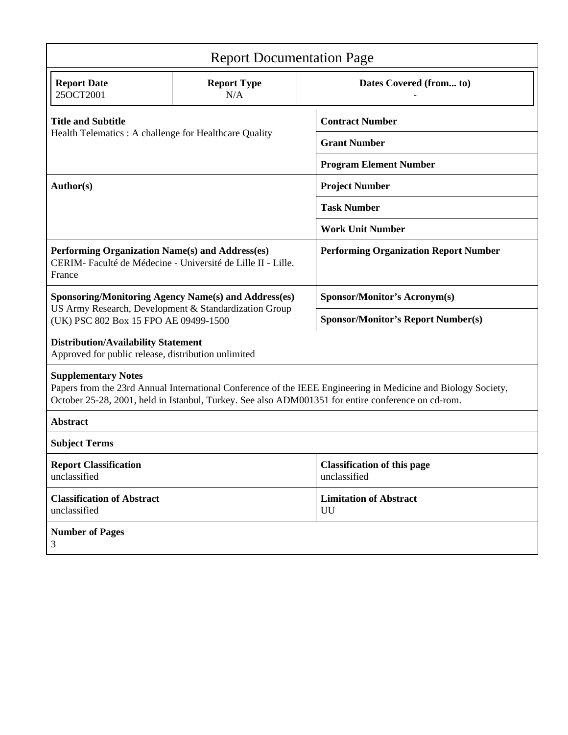| <b>Report Documentation Page</b>                                                                                                                                                                                                                  |                           |                                                    |
|---------------------------------------------------------------------------------------------------------------------------------------------------------------------------------------------------------------------------------------------------|---------------------------|----------------------------------------------------|
| <b>Report Date</b><br>25OCT2001                                                                                                                                                                                                                   | <b>Report Type</b><br>N/A | Dates Covered (from to)                            |
| <b>Title and Subtitle</b><br>Health Telematics: A challenge for Healthcare Quality                                                                                                                                                                |                           | <b>Contract Number</b>                             |
|                                                                                                                                                                                                                                                   |                           | <b>Grant Number</b>                                |
|                                                                                                                                                                                                                                                   |                           | <b>Program Element Number</b>                      |
| Author(s)                                                                                                                                                                                                                                         |                           | <b>Project Number</b>                              |
|                                                                                                                                                                                                                                                   |                           | <b>Task Number</b>                                 |
|                                                                                                                                                                                                                                                   |                           | <b>Work Unit Number</b>                            |
| Performing Organization Name(s) and Address(es)<br>CERIM- Faculté de Médecine - Université de Lille II - Lille.<br>France                                                                                                                         |                           | <b>Performing Organization Report Number</b>       |
| <b>Sponsoring/Monitoring Agency Name(s) and Address(es)</b><br>US Army Research, Development & Standardization Group<br>(UK) PSC 802 Box 15 FPO AE 09499-1500                                                                                     |                           | <b>Sponsor/Monitor's Acronym(s)</b>                |
|                                                                                                                                                                                                                                                   |                           | <b>Sponsor/Monitor's Report Number(s)</b>          |
| <b>Distribution/Availability Statement</b><br>Approved for public release, distribution unlimited                                                                                                                                                 |                           |                                                    |
| <b>Supplementary Notes</b><br>Papers from the 23rd Annual International Conference of the IEEE Engineering in Medicine and Biology Society,<br>October 25-28, 2001, held in Istanbul, Turkey. See also ADM001351 for entire conference on cd-rom. |                           |                                                    |
| <b>Abstract</b>                                                                                                                                                                                                                                   |                           |                                                    |
| <b>Subject Terms</b>                                                                                                                                                                                                                              |                           |                                                    |
| <b>Report Classification</b><br>unclassified                                                                                                                                                                                                      |                           | <b>Classification of this page</b><br>unclassified |
| <b>Classification of Abstract</b><br>unclassified                                                                                                                                                                                                 |                           | <b>Limitation of Abstract</b><br>UU                |
| <b>Number of Pages</b><br>3                                                                                                                                                                                                                       |                           |                                                    |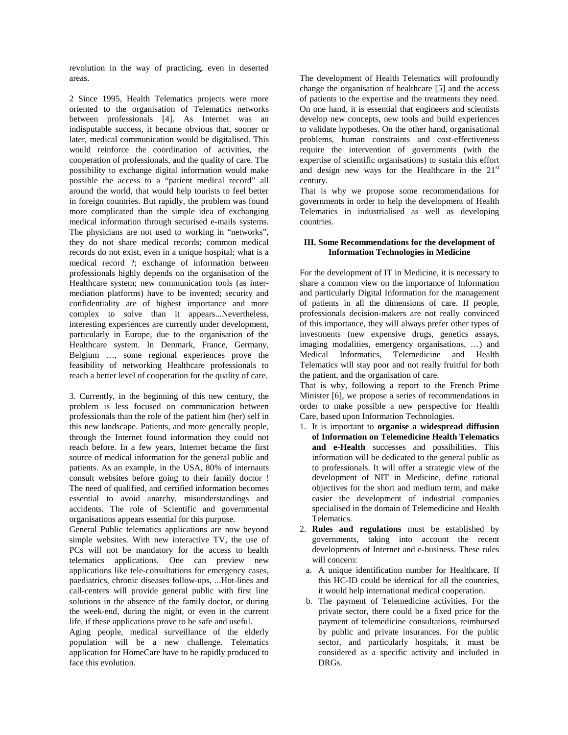revolution in the way of practicing, even in deserted areas.

2 Since 1995, Health Telematics projects were more oriented to the organisation of Telematics networks between professionals [4]. As Internet was an indisputable success, it became obvious that, sooner or later, medical communication would be digitalised. This would reinforce the coordination of activities, the cooperation of professionals, and the quality of care. The possibility to exchange digital information would make possible the access to a "patient medical record" all around the world, that would help tourists to feel better in foreign countries. But rapidly, the problem was found more complicated than the simple idea of exchanging medical information through securised e-mails systems. The physicians are not used to working in "networks", they do not share medical records; common medical records do not exist, even in a unique hospital; what is a medical record ?; exchange of information between professionals highly depends on the organisation of the Healthcare system; new communication tools (as intermediation platforms) have to be invented; security and confidentiality are of highest importance and more complex to solve than it appears...Nevertheless, interesting experiences are currently under development, particularly in Europe, due to the organisation of the Healthcare system. In Denmark, France, Germany, Belgium …, some regional experiences prove the feasibility of networking Healthcare professionals to reach a better level of cooperation for the quality of care.

3. Currently, in the beginning of this new century, the problem is less focused on communication between professionals than the role of the patient him (her) self in this new landscape. Patients, and more generally people, through the Internet found information they could not reach before. In a few years, Internet became the first source of medical information for the general public and patients. As an example, in the USA, 80% of internauts consult websites before going to their family doctor ! The need of qualified, and certified information becomes essential to avoid anarchy, misunderstandings and accidents. The role of Scientific and governmental organisations appears essential for this purpose.

General Public telematics applications are now beyond simple websites. With new interactive TV, the use of PCs will not be mandatory for the access to health telematics applications. One can preview new applications like tele-consultations for emergency cases, paediatrics, chronic diseases follow-ups, ...Hot-lines and call-centers will provide general public with first line solutions in the absence of the family doctor, or during the week-end, during the night, or even in the current life, if these applications prove to be safe and useful.

Aging people, medical surveillance of the elderly population will be a new challenge. Telematics application for HomeCare have to be rapidly produced to face this evolution.

The development of Health Telematics will profoundly change the organisation of healthcare [5] and the access of patients to the expertise and the treatments they need. On one hand, it is essential that engineers and scientists develop new concepts, new tools and build experiences to validate hypotheses. On the other hand, organisational problems, human constraints and cost-effectiveness require the intervention of governments (with the expertise of scientific organisations) to sustain this effort and design new ways for the Healthcare in the 21<sup>st</sup> century.

That is why we propose some recommendations for governments in order to help the development of Health Telematics in industrialised as well as developing countries.

# **III. Some Recommendations for the development of Information Technologies in Medicine**

For the development of IT in Medicine, it is necessary to share a common view on the importance of Information and particularly Digital Information for the management of patients in all the dimensions of care. If people, professionals decision-makers are not really convinced of this importance, they will always prefer other types of investments (new expensive drugs, genetics assays, imaging modalities, emergency organisations, …) and Medical Informatics, Telemedicine and Health Telematics will stay poor and not really fruitful for both the patient, and the organisation of care.

That is why, following a report to the French Prime Minister [6], we propose a series of recommendations in order to make possible a new perspective for Health Care, based upon Information Technologies.

- 1. It is important to **organise a widespread diffusion of Information on Telemedicine Health Telematics and e-Health** successes and possibilities. This information will be dedicated to the general public as to professionals. It will offer a strategic view of the development of NIT in Medicine, define rational objectives for the short and medium term, and make easier the development of industrial companies specialised in the domain of Telemedicine and Health Telematics.
- 2. **Rules and regulations** must be established by governments, taking into account the recent developments of Internet and e-business. These rules will concern:
	- a. A unique identification number for Healthcare. If this HC-ID could be identical for all the countries, it would help international medical cooperation.
	- b. The payment of Telemedicine activities. For the private sector, there could be a fixed price for the payment of telemedicine consultations, reimbursed by public and private insurances. For the public sector, and particularly hospitals, it must be considered as a specific activity and included in DRGs.